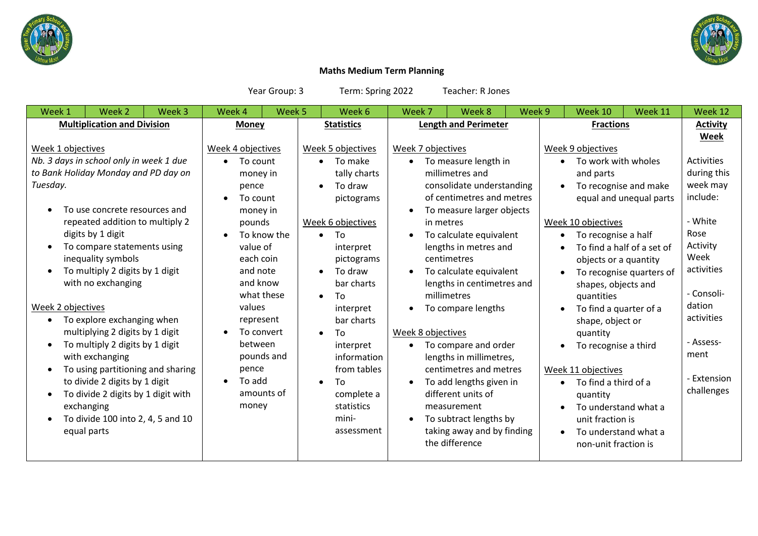



## **Maths Medium Term Planning**

Year Group: 3 Term: Spring 2022 Teacher: R Jones

| <b>Multiplication and Division</b><br><b>Length and Perimeter</b><br><b>Fractions</b><br><b>Statistics</b><br><b>Money</b><br>Week 4 objectives<br>Week 5 objectives<br>Week 7 objectives<br>Week 9 objectives<br>Week 1 objectives<br>Nb. 3 days in school only in week 1 due<br>To make<br>To work with wholes<br>To measure length in<br>To count<br>$\bullet$<br>$\bullet$<br>$\bullet$<br>to Bank Holiday Monday and PD day on<br>tally charts<br>millimetres and<br>and parts<br>money in<br>Tuesday.<br>consolidate understanding<br>To recognise and make<br>To draw<br>pence<br>$\bullet$<br>of centimetres and metres<br>To count<br>$\bullet$                                                                                                                                                                                                                                                                                                                                                                                                                                                                                                                                                                                                                                                                                                                                                                                                                                                                                                                                                                                                                                                                                                                                                                                                                                                                                                                                                        | <b>Activity</b><br>Week                                                                                                                                                                               |
|-----------------------------------------------------------------------------------------------------------------------------------------------------------------------------------------------------------------------------------------------------------------------------------------------------------------------------------------------------------------------------------------------------------------------------------------------------------------------------------------------------------------------------------------------------------------------------------------------------------------------------------------------------------------------------------------------------------------------------------------------------------------------------------------------------------------------------------------------------------------------------------------------------------------------------------------------------------------------------------------------------------------------------------------------------------------------------------------------------------------------------------------------------------------------------------------------------------------------------------------------------------------------------------------------------------------------------------------------------------------------------------------------------------------------------------------------------------------------------------------------------------------------------------------------------------------------------------------------------------------------------------------------------------------------------------------------------------------------------------------------------------------------------------------------------------------------------------------------------------------------------------------------------------------------------------------------------------------------------------------------------------------|-------------------------------------------------------------------------------------------------------------------------------------------------------------------------------------------------------|
|                                                                                                                                                                                                                                                                                                                                                                                                                                                                                                                                                                                                                                                                                                                                                                                                                                                                                                                                                                                                                                                                                                                                                                                                                                                                                                                                                                                                                                                                                                                                                                                                                                                                                                                                                                                                                                                                                                                                                                                                                 |                                                                                                                                                                                                       |
| equal and unequal parts<br>pictograms<br>To use concrete resources and<br>To measure larger objects<br>money in<br>Week 6 objectives<br>repeated addition to multiply 2<br>Week 10 objectives<br>pounds<br>in metres<br>digits by 1 digit<br>To know the<br>To<br>To calculate equivalent<br>To recognise a half<br>$\bullet$<br>$\bullet$<br>To compare statements using<br>value of<br>lengths in metres and<br>interpret<br>To find a half of a set of<br>inequality symbols<br>each coin<br>centimetres<br>pictograms<br>objects or a quantity<br>To multiply 2 digits by 1 digit<br>and note<br>To calculate equivalent<br>To draw<br>To recognise quarters of<br>$\bullet$<br>$\bullet$<br>and know<br>with no exchanging<br>bar charts<br>lengths in centimetres and<br>shapes, objects and<br>what these<br>millimetres<br>To<br>quantities<br>$\bullet$<br>Week 2 objectives<br>values<br>To compare lengths<br>To find a quarter of a<br>interpret<br>To explore exchanging when<br>represent<br>bar charts<br>$\bullet$<br>shape, object or<br>multiplying 2 digits by 1 digit<br>To convert<br>Week 8 objectives<br>To<br>quantity<br>$\bullet$<br>To multiply 2 digits by 1 digit<br>between<br>To compare and order<br>interpret<br>To recognise a third<br>$\bullet$<br>pounds and<br>with exchanging<br>information<br>lengths in millimetres,<br>from tables<br>centimetres and metres<br>To using partitioning and sharing<br>pence<br>Week 11 objectives<br>To add<br>to divide 2 digits by 1 digit<br>$\bullet$<br>To add lengths given in<br>To<br>To find a third of a<br>$\bullet$<br>$\bullet$<br>$\bullet$<br>amounts of<br>To divide 2 digits by 1 digit with<br>different units of<br>complete a<br>quantity<br>exchanging<br>money<br>statistics<br>measurement<br>To understand what a<br>mini-<br>To divide 100 into 2, 4, 5 and 10<br>To subtract lengths by<br>unit fraction is<br>taking away and by finding<br>equal parts<br>assessment<br>To understand what a<br>$\bullet$ | <b>Activities</b><br>during this<br>week may<br>include:<br>- White<br>Rose<br>Activity<br>Week<br>activities<br>- Consoli-<br>dation<br>activities<br>- Assess-<br>ment<br>- Extension<br>challenges |